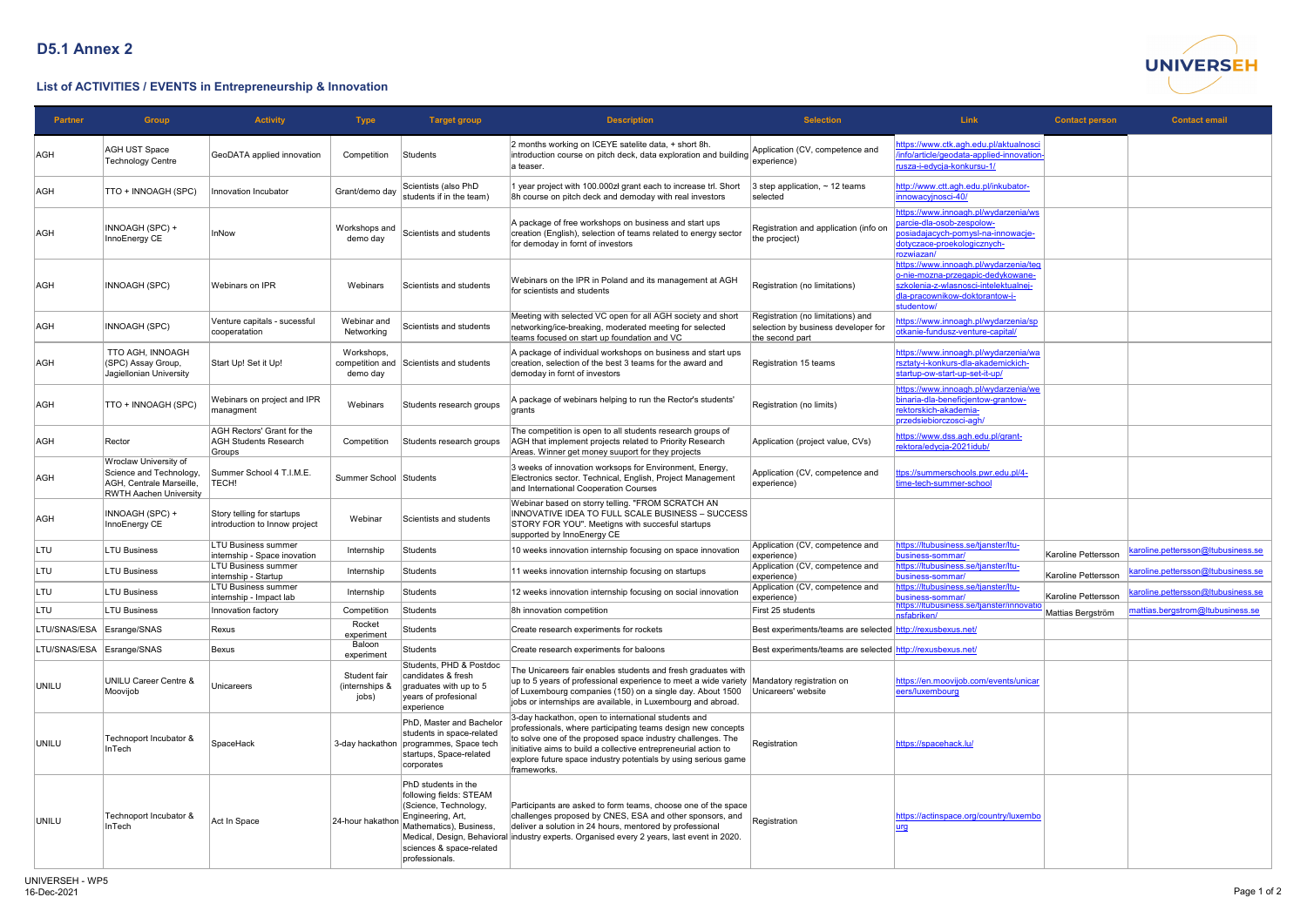

## **List of ACTIVITIES / EVENTS in Entrepreneurship & Innovation**

| <b>Partner</b>            | <b>Group</b>                                                                                                  | <b>Activity</b>                                                             | <b>Type</b>                             | <b>Target group</b>                                                                                                                                                   | <b>Description</b>                                                                                                                                                                                                                                                                                                                     | <b>Selection</b>                                                                            | <b>Link</b>                                                                                                                                                               | <b>Contact person</b> | <b>Contact email</b>               |
|---------------------------|---------------------------------------------------------------------------------------------------------------|-----------------------------------------------------------------------------|-----------------------------------------|-----------------------------------------------------------------------------------------------------------------------------------------------------------------------|----------------------------------------------------------------------------------------------------------------------------------------------------------------------------------------------------------------------------------------------------------------------------------------------------------------------------------------|---------------------------------------------------------------------------------------------|---------------------------------------------------------------------------------------------------------------------------------------------------------------------------|-----------------------|------------------------------------|
| AGH                       | <b>AGH UST Space</b><br>Technology Centre                                                                     | GeoDATA applied innovation                                                  | Competition                             | Students                                                                                                                                                              | 2 months working on ICEYE satelite data, + short 8h.<br>introduction course on pitch deck, data exploration and building<br>a teaser.                                                                                                                                                                                                  | Application (CV, competence and<br>experience)                                              | https://www.ctk.agh.edu.pl/aktualnosci<br>info/article/geodata-applied-innovation-<br><u>usza-i-edycja-konkursu-1/</u>                                                    |                       |                                    |
| AGH                       | TTO + INNOAGH (SPC)                                                                                           | Innovation Incubator                                                        | Grant/demo day                          | Scientists (also PhD<br>students if in the team)                                                                                                                      | 1 year project with 100.000zł grant each to increase trl. Short<br>8h course on pitch deck and demoday with real investors                                                                                                                                                                                                             | 3 step application, $\sim$ 12 teams<br>selected                                             | http://www.ctt.agh.edu.pl/inkubator-<br>hnowacyjnosci-40/                                                                                                                 |                       |                                    |
| AGH                       | INNOAGH (SPC) +<br>InnoEnergy CE                                                                              | <b>InNow</b>                                                                | Workshops and<br>demo day               | Scientists and students                                                                                                                                               | A package of free workshops on business and start ups<br>creation (English), selection of teams related to energy sector<br>for demoday in fornt of investors                                                                                                                                                                          | Registration and application (info on<br>the procject)                                      | https://www.innoagh.pl/wydarzenia/ws<br>barcie-dla-osob-zespolow-<br>osiadajacych-pomysl-na-innowacje-<br>dotyczace-proekologicznych-<br>rozwiazan/                       |                       |                                    |
| <b>AGH</b>                | INNOAGH (SPC)                                                                                                 | Webinars on IPR                                                             | Webinars                                | Scientists and students                                                                                                                                               | Webinars on the IPR in Poland and its management at AGH<br>for scientists and students                                                                                                                                                                                                                                                 | Registration (no limitations)                                                               | https://www.innoagh.pl/wydarzenia/teg<br>o-nie-mozna-przegapic-dedykowane-<br>szkolenia-z-wlasnosci-intelektualnej-<br><u>dla-pracownikow-doktorantow-i-</u><br>tudentow/ |                       |                                    |
| AGH                       | INNOAGH (SPC)                                                                                                 | Venture capitals - sucessful<br>cooperatation                               | Webinar and<br>Networking               | Scientists and students                                                                                                                                               | Meeting with selected VC open for all AGH society and short<br>networking/ice-breaking, moderated meeting for selected<br>teams focused on start up foundation and VC                                                                                                                                                                  | Registration (no limitations) and<br>selection by business developer for<br>the second part | https://www.innoagh.pl/wydarzenia/sp<br>htkanie-fundusz-venture-capital/                                                                                                  |                       |                                    |
| AGH                       | TTO AGH, INNOAGH<br>(SPC) Assay Group,<br>Jagiellonian University                                             | Start Up! Set it Up!                                                        | Workshops,<br>demo day                  | competition and Scientists and students                                                                                                                               | A package of individual workshops on business and start ups<br>creation, selection of the best 3 teams for the award and<br>demoday in fornt of investors                                                                                                                                                                              | Registration 15 teams                                                                       | ttps://www.innoagh.pl/wydarzenia/wa<br>sztaty-i-konkurs-dla-akademickich-<br>startup-ow-start-up-set-it-up/                                                               |                       |                                    |
| AGH                       | TTO + INNOAGH (SPC)                                                                                           | Webinars on project and IPR<br>managment                                    | Webinars                                | Students research groups                                                                                                                                              | A package of webinars helping to run the Rector's students'<br>grants                                                                                                                                                                                                                                                                  | Registration (no limits)                                                                    | https://www.innoagh.pl/wydarzenia/we<br>binaria-dla-beneficjentow-grantow-<br>ektorskich-akademia-<br>orzedsiebiorczosci-agh/                                             |                       |                                    |
| AGH                       | Rector                                                                                                        | <b>AGH Rectors' Grant for the</b><br><b>AGH Students Research</b><br>Groups | Competition                             | Students research groups                                                                                                                                              | The competition is open to all students research groups of<br>AGH that implement projects related to Priority Research<br>Areas. Winner get money suuport for they projects                                                                                                                                                            | Application (project value, CVs)                                                            | https://www.dss.agh.edu.pl/grant-<br>rektora/edycja-2021idub/                                                                                                             |                       |                                    |
| AGH                       | Wroclaw University of<br>Science and Technology,<br>AGH, Centrale Marseille,<br><b>RWTH Aachen University</b> | Summer School 4 T.I.M.E.<br>TECH!                                           | Summer School Students                  |                                                                                                                                                                       | 3 weeks of innovation worksops for Environment, Energy,<br>Electronics sector. Technical, English, Project Management<br>and International Cooperation Courses                                                                                                                                                                         | Application (CV, competence and<br>experience)                                              | tps://summerschools.pwr.edu.pl/4-<br>time-tech-summer-school                                                                                                              |                       |                                    |
| <b>AGH</b>                | INNOAGH (SPC) +<br>InnoEnergy CE                                                                              | Story telling for startups<br>introduction to Innow project                 | Webinar                                 | Scientists and students                                                                                                                                               | Webinar based on storry telling. "FROM SCRATCH AN<br>INNOVATIVE IDEA TO FULL SCALE BUSINESS - SUCCESS<br>STORY FOR YOU". Meetigns with succesful startups<br>supported by InnoEnergy CE                                                                                                                                                |                                                                                             |                                                                                                                                                                           |                       |                                    |
| <b>LTU</b>                | <b>LTU Business</b>                                                                                           | LTU Business summer<br>internship - Space inovation                         | Internship                              | <b>Students</b>                                                                                                                                                       | 10 weeks innovation internship focusing on space innovation                                                                                                                                                                                                                                                                            | Application (CV, competence and<br>experience)                                              | https://ltubusiness.se/tjanster/ltu-<br>business-sommar/                                                                                                                  | Karoline Pettersson   | karoline.pettersson@Itubusiness.se |
| <b>LTU</b>                | <b>LTU Business</b>                                                                                           | <b>LTU Business summer</b><br>internship - Startup                          | Internship                              | <b>Students</b>                                                                                                                                                       | 11 weeks innovation internship focusing on startups                                                                                                                                                                                                                                                                                    | Application (CV, competence and<br>$ $ experience $ $                                       | https://ltubusiness.se/tjanster/ltu-<br>business-sommar/                                                                                                                  | Karoline Pettersson   | karoline.pettersson@ltubusiness.se |
| <b>LTU</b>                | <b>LTU Business</b>                                                                                           | <b>LTU Business summer</b><br>internship - Impact lab                       | Internship                              | <b>Students</b>                                                                                                                                                       | 12 weeks innovation internship focusing on social innovation                                                                                                                                                                                                                                                                           | Application (CV, competence and<br>experience)                                              | https://Itubusiness.se/tjanster/Itu-<br>business-sommar/                                                                                                                  | Karoline Pettersson   | caroline.pettersson@ltubusiness.se |
| LTU                       | <b>LTU Business</b>                                                                                           | Innovation factory                                                          | Competition                             | <b>Students</b>                                                                                                                                                       | 8h innovation competition                                                                                                                                                                                                                                                                                                              | First 25 students                                                                           | ittps://Itubusiness.se/tjanster/innovatio<br>sfabriken/                                                                                                                   | Mattias Bergström     | mattias.bergstrom@ltubusiness.se   |
| LTU/SNAS/ESA              | Esrange/SNAS                                                                                                  | Rexus                                                                       | Rocket<br>experiment                    | <b>Students</b>                                                                                                                                                       | Create research experiments for rockets                                                                                                                                                                                                                                                                                                | Best experiments/teams are selected http://rexusbexus.net/                                  |                                                                                                                                                                           |                       |                                    |
| LTU/SNAS/ESA Esrange/SNAS |                                                                                                               | Bexus                                                                       | Baloon<br>experiment                    | <b>Students</b>                                                                                                                                                       | Create research experiments for baloons                                                                                                                                                                                                                                                                                                | Best experiments/teams are selected http://rexusbexus.net/                                  |                                                                                                                                                                           |                       |                                    |
| UNILU                     | <b>UNILU Career Centre &amp;</b><br>Moovijob                                                                  | Unicareers                                                                  | Student fair<br>(internships &<br>jobs) | Students, PHD & Postdoc<br>candidates & fresh<br>graduates with up to 5<br>years of profesional<br>experience                                                         | The Unicareers fair enables students and fresh graduates with<br>up to 5 years of professional experience to meet a wide variety Mandatory registration on<br>of Luxembourg companies (150) on a single day. About 1500<br>jobs or internships are available, in Luxembourg and abroad.                                                | Unicareers' website                                                                         | ittps://en.moovijob.com/events/unicar<br>eers/luxembourg                                                                                                                  |                       |                                    |
| UNILU                     | Technoport Incubator &<br>InTech                                                                              | SpaceHack                                                                   |                                         | PhD, Master and Bachelor<br>students in space-related<br>3-day hackathon programmes, Space tech<br>startups, Space-related<br>corporates                              | 3-day hackathon, open to international students and<br>professionals, where participating teams design new concepts<br>to solve one of the proposed space industry challenges. The<br>initiative aims to build a collective entrepreneurial action to<br>explore future space industry potentials by using serious game<br>frameworks. | Registration                                                                                | https://spacehack.lu/                                                                                                                                                     |                       |                                    |
| UNILU                     | Technoport Incubator &<br>InTech                                                                              | Act In Space                                                                | 24-hour hakathon                        | PhD students in the<br>following fields: STEAM<br>(Science, Technology,<br>Engineering, Art,<br>Mathematics), Business,<br>sciences & space-related<br>professionals. | Participants are asked to form teams, choose one of the space<br>challenges proposed by CNES, ESA and other sponsors, and<br>deliver a solution in 24 hours, mentored by professional<br>Medical, Design, Behavioral industry experts. Organised every 2 years, last event in 2020.                                                    | Registration                                                                                | https://actinspace.org/country/luxembo                                                                                                                                    |                       |                                    |

## **D5.1 Annex 2**